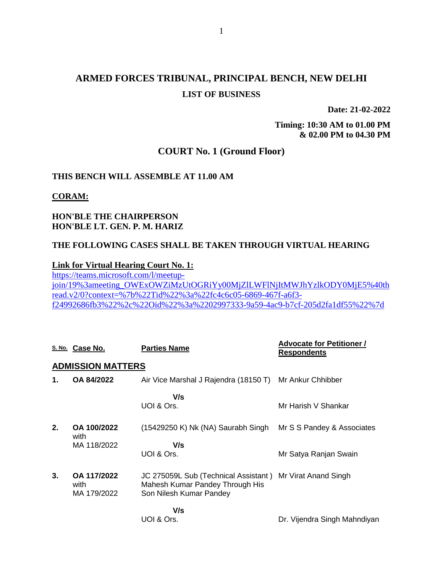# **ARMED FORCES TRIBUNAL, PRINCIPAL BENCH, NEW DELHI LIST OF BUSINESS**

**Date: 21-02-2022**

**Timing: 10:30 AM to 01.00 PM & 02.00 PM to 04.30 PM**

## **COURT No. 1 (Ground Floor)**

#### **THIS BENCH WILL ASSEMBLE AT 11.00 AM**

#### **CORAM:**

## **HON'BLE THE CHAIRPERSON HON'BLE LT. GEN. P. M. HARIZ**

### **THE FOLLOWING CASES SHALL BE TAKEN THROUGH VIRTUAL HEARING**

#### **Link for Virtual Hearing Court No. 1:**

[https://teams.microsoft.com/l/meetup](https://teams.microsoft.com/l/meetup-join/19%3ameeting_OWExOWZiMzUtOGRiYy00MjZlLWFlNjItMWJhYzlkODY0MjE5%40thread.v2/0?context=%7b%22Tid%22%3a%22fc4c6c05-6869-467f-a6f3-f24992686fb3%22%2c%22Oid%22%3a%2202997333-9a59-4ac9-b7cf-205d2fa1df55%22%7d)[join/19%3ameeting\\_OWExOWZiMzUtOGRiYy00MjZlLWFlNjItMWJhYzlkODY0MjE5%40th](https://teams.microsoft.com/l/meetup-join/19%3ameeting_OWExOWZiMzUtOGRiYy00MjZlLWFlNjItMWJhYzlkODY0MjE5%40thread.v2/0?context=%7b%22Tid%22%3a%22fc4c6c05-6869-467f-a6f3-f24992686fb3%22%2c%22Oid%22%3a%2202997333-9a59-4ac9-b7cf-205d2fa1df55%22%7d) [read.v2/0?context=%7b%22Tid%22%3a%22fc4c6c05-6869-467f-a6f3](https://teams.microsoft.com/l/meetup-join/19%3ameeting_OWExOWZiMzUtOGRiYy00MjZlLWFlNjItMWJhYzlkODY0MjE5%40thread.v2/0?context=%7b%22Tid%22%3a%22fc4c6c05-6869-467f-a6f3-f24992686fb3%22%2c%22Oid%22%3a%2202997333-9a59-4ac9-b7cf-205d2fa1df55%22%7d) [f24992686fb3%22%2c%22Oid%22%3a%2202997333-9a59-4ac9-b7cf-205d2fa1df55%22%7d](https://teams.microsoft.com/l/meetup-join/19%3ameeting_OWExOWZiMzUtOGRiYy00MjZlLWFlNjItMWJhYzlkODY0MjE5%40thread.v2/0?context=%7b%22Tid%22%3a%22fc4c6c05-6869-467f-a6f3-f24992686fb3%22%2c%22Oid%22%3a%2202997333-9a59-4ac9-b7cf-205d2fa1df55%22%7d)

|    | S. No. Case No.                    | <b>Parties Name</b>                                                                                                     | <b>Advocate for Petitioner /</b><br><b>Respondents</b> |
|----|------------------------------------|-------------------------------------------------------------------------------------------------------------------------|--------------------------------------------------------|
|    | <b>ADMISSION MATTERS</b>           |                                                                                                                         |                                                        |
| 1. | OA 84/2022                         | Air Vice Marshal J Rajendra (18150 T) Mr Ankur Chhibber                                                                 |                                                        |
|    |                                    | V/s<br>UOI & Ors.                                                                                                       | Mr Harish V Shankar                                    |
| 2. | OA 100/2022<br>with                | (15429250 K) Nk (NA) Saurabh Singh                                                                                      | Mr S S Pandey & Associates                             |
|    | MA 118/2022                        | V/s<br>UOI & Ors.                                                                                                       | Mr Satya Ranjan Swain                                  |
| 3. | OA 117/2022<br>with<br>MA 179/2022 | JC 275059L Sub (Technical Assistant) Mr Virat Anand Singh<br>Mahesh Kumar Pandey Through His<br>Son Nilesh Kumar Pandey |                                                        |
|    |                                    | V/s<br>UOI & Ors.                                                                                                       | Dr. Vijendra Singh Mahndiyan                           |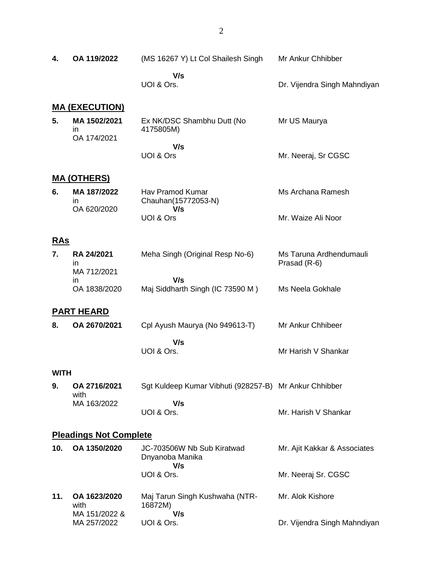| 4.                            | OA 119/2022                             | (MS 16267 Y) Lt Col Shailesh Singh                     | Mr Ankur Chhibber                       |  |
|-------------------------------|-----------------------------------------|--------------------------------------------------------|-----------------------------------------|--|
|                               |                                         | V/s<br>UOI & Ors.                                      | Dr. Vijendra Singh Mahndiyan            |  |
|                               | <b>MA (EXECUTION)</b>                   |                                                        |                                         |  |
| 5.                            | MA 1502/2021<br>in.<br>OA 174/2021      | Ex NK/DSC Shambhu Dutt (No<br>4175805M)                | Mr US Maurya                            |  |
|                               |                                         | V/s<br>UOI & Ors                                       | Mr. Neeraj, Sr CGSC                     |  |
|                               | <u>MA (OTHERS)</u>                      |                                                        |                                         |  |
| 6.                            | MA 187/2022<br><i>in</i><br>OA 620/2020 | Hav Pramod Kumar<br>Chauhan(15772053-N)<br>V/s         | Ms Archana Ramesh                       |  |
|                               |                                         | UOI & Ors                                              | Mr. Waize Ali Noor                      |  |
| <b>RAs</b>                    |                                         |                                                        |                                         |  |
| 7.                            | RA 24/2021<br>in                        | Meha Singh (Original Resp No-6)                        | Ms Taruna Ardhendumauli<br>Prasad (R-6) |  |
|                               | MA 712/2021<br>in<br>OA 1838/2020       | V/s<br>Maj Siddharth Singh (IC 73590 M)                | Ms Neela Gokhale                        |  |
|                               |                                         |                                                        |                                         |  |
|                               | <u>PART HEARD</u>                       |                                                        |                                         |  |
| 8.                            | OA 2670/2021                            | Cpl Ayush Maurya (No 949613-T)                         | Mr Ankur Chhibeer                       |  |
|                               |                                         | V/s<br>UOI & Ors.                                      | Mr Harish V Shankar                     |  |
| WITH                          |                                         |                                                        |                                         |  |
| 9.                            | OA 2716/2021<br>with                    | Sgt Kuldeep Kumar Vibhuti (928257-B) Mr Ankur Chhibber |                                         |  |
|                               | MA 163/2022                             | V/s<br>UOI & Ors.                                      | Mr. Harish V Shankar                    |  |
| <b>Pleadings Not Complete</b> |                                         |                                                        |                                         |  |
| 10.                           | OA 1350/2020                            | JC-703506W Nb Sub Kiratwad<br>Dnyanoba Manika<br>V/s   | Mr. Ajit Kakkar & Associates            |  |
|                               |                                         | UOI & Ors.                                             | Mr. Neeraj Sr. CGSC                     |  |
| 11.                           | OA 1623/2020<br>with<br>MA 151/2022 &   | Maj Tarun Singh Kushwaha (NTR-<br>16872M)<br>V/s       | Mr. Alok Kishore                        |  |
|                               | MA 257/2022                             | UOI & Ors.                                             | Dr. Vijendra Singh Mahndiyan            |  |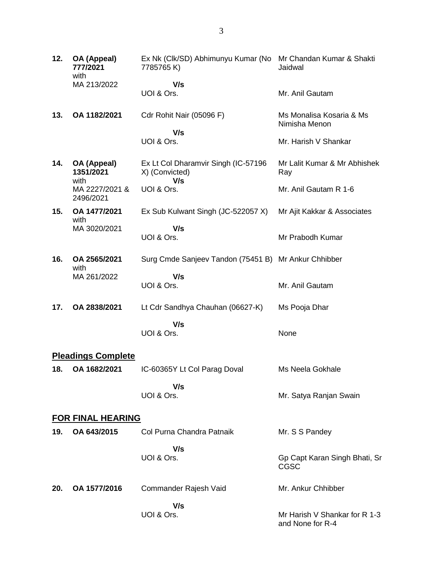| 12. | OA (Appeal)<br>777/2021<br>with     | Ex Nk (Clk/SD) Abhimunyu Kumar (No Mr Chandan Kumar & Shakti<br>7785765K) | Jaidwal                                           |
|-----|-------------------------------------|---------------------------------------------------------------------------|---------------------------------------------------|
|     | MA 213/2022                         | V/s<br>UOI & Ors.                                                         | Mr. Anil Gautam                                   |
| 13. | OA 1182/2021                        | Cdr Rohit Nair (05096 F)                                                  | Ms Monalisa Kosaria & Ms<br>Nimisha Menon         |
|     |                                     | V/s<br>UOI & Ors.                                                         | Mr. Harish V Shankar                              |
| 14. | OA (Appeal)<br>1351/2021            | Ex Lt Col Dharamvir Singh (IC-57196<br>X) (Convicted)                     | Mr Lalit Kumar & Mr Abhishek<br>Ray               |
|     | with<br>MA 2227/2021 &<br>2496/2021 | V/s<br>UOI & Ors.                                                         | Mr. Anil Gautam R 1-6                             |
| 15. | OA 1477/2021<br>with                | Ex Sub Kulwant Singh (JC-522057 X)                                        | Mr Ajit Kakkar & Associates                       |
|     | MA 3020/2021                        | V/s<br>UOI & Ors.                                                         | Mr Prabodh Kumar                                  |
| 16. | OA 2565/2021                        | Surg Cmde Sanjeev Tandon (75451 B) Mr Ankur Chhibber                      |                                                   |
|     | with<br>MA 261/2022                 | V/s<br>UOI & Ors.                                                         | Mr. Anil Gautam                                   |
| 17. | OA 2838/2021                        | Lt Cdr Sandhya Chauhan (06627-K)                                          | Ms Pooja Dhar                                     |
|     |                                     | V/s                                                                       |                                                   |
|     |                                     | UOI & Ors.                                                                | None                                              |
|     | <b>Pleadings Complete</b>           |                                                                           |                                                   |
| 18. | OA 1682/2021                        | IC-60365Y Lt Col Parag Doval                                              | Ms Neela Gokhale                                  |
|     |                                     | V/s<br>UOI & Ors.                                                         | Mr. Satya Ranjan Swain                            |
|     | <b>FOR FINAL HEARING</b>            |                                                                           |                                                   |
| 19. | OA 643/2015                         | Col Purna Chandra Patnaik                                                 | Mr. S S Pandey                                    |
|     |                                     | V/s<br>UOI & Ors.                                                         | Gp Capt Karan Singh Bhati, Sr<br>CGSC             |
| 20. | OA 1577/2016                        | Commander Rajesh Vaid                                                     | Mr. Ankur Chhibber                                |
|     |                                     | V/s                                                                       |                                                   |
|     |                                     | UOI & Ors.                                                                | Mr Harish V Shankar for R 1-3<br>and None for R-4 |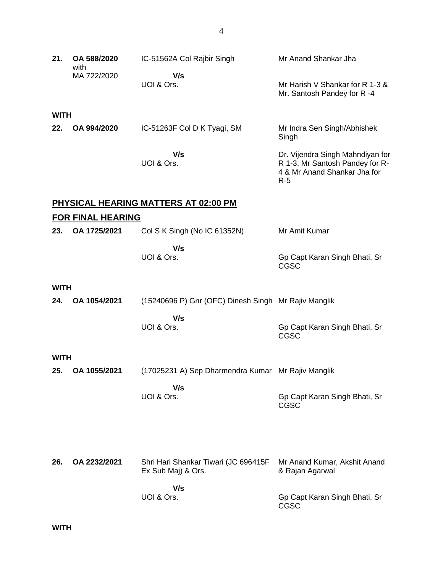| 21.         | OA 588/2020<br>with      | IC-51562A Col Rajbir Singh                                 | Mr Anand Shankar Jha                                                                                         |
|-------------|--------------------------|------------------------------------------------------------|--------------------------------------------------------------------------------------------------------------|
|             | MA 722/2020              | V/s<br>UOI & Ors.                                          | Mr Harish V Shankar for R 1-3 &<br>Mr. Santosh Pandey for R-4                                                |
| <b>WITH</b> |                          |                                                            |                                                                                                              |
| 22.         | OA 994/2020              | IC-51263F Col D K Tyagi, SM                                | Mr Indra Sen Singh/Abhishek<br>Singh                                                                         |
|             |                          | V/s<br>UOI & Ors.                                          | Dr. Vijendra Singh Mahndiyan for<br>R 1-3, Mr Santosh Pandey for R-<br>4 & Mr Anand Shankar Jha for<br>$R-5$ |
|             |                          | <u>PHYSICAL HEARING MATTERS AT 02:00 PM</u>                |                                                                                                              |
|             | <b>FOR FINAL HEARING</b> |                                                            |                                                                                                              |
| 23.         | OA 1725/2021             | Col S K Singh (No IC 61352N)                               | Mr Amit Kumar                                                                                                |
|             |                          | V/s<br>UOI & Ors.                                          | Gp Capt Karan Singh Bhati, Sr<br><b>CGSC</b>                                                                 |
| <b>WITH</b> |                          |                                                            |                                                                                                              |
| 24.         | OA 1054/2021             | (15240696 P) Gnr (OFC) Dinesh Singh Mr Rajiv Manglik       |                                                                                                              |
|             |                          | V/s<br>UOI & Ors.                                          | Gp Capt Karan Singh Bhati, Sr<br><b>CGSC</b>                                                                 |
| <b>WITH</b> |                          |                                                            |                                                                                                              |
| 25.         | OA 1055/2021             | (17025231 A) Sep Dharmendra Kumar Mr Rajiv Manglik         |                                                                                                              |
|             |                          | V/s<br>UOI & Ors.                                          | Gp Capt Karan Singh Bhati, Sr<br><b>CGSC</b>                                                                 |
|             |                          |                                                            |                                                                                                              |
| 26.         | OA 2232/2021             | Shri Hari Shankar Tiwari (JC 696415F<br>Ex Sub Maj) & Ors. | Mr Anand Kumar, Akshit Anand<br>& Rajan Agarwal                                                              |
|             |                          | V/s<br>UOI & Ors.                                          | Gp Capt Karan Singh Bhati, Sr<br>CGSC                                                                        |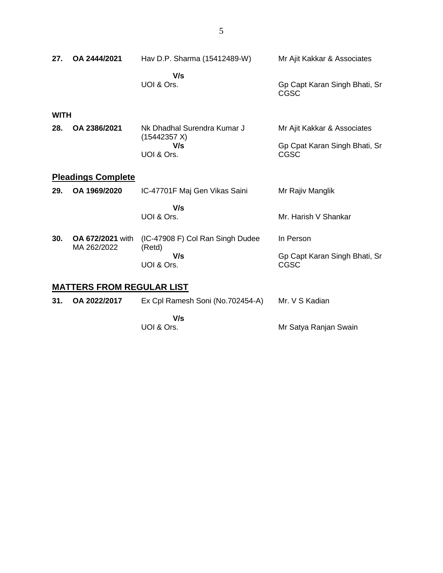| 27.         | OA 2444/2021                           | Hav D.P. Sharma (15412489-W)               | Mr Ajit Kakkar & Associates                  |
|-------------|----------------------------------------|--------------------------------------------|----------------------------------------------|
|             |                                        | V/s<br>UOI & Ors.                          | Gp Capt Karan Singh Bhati, Sr<br><b>CGSC</b> |
| <b>WITH</b> |                                        |                                            |                                              |
| 28.         | OA 2386/2021                           | Nk Dhadhal Surendra Kumar J                | Mr Ajit Kakkar & Associates                  |
|             |                                        | (15442357 X)<br>V/s                        | Gp Cpat Karan Singh Bhati, Sr                |
|             |                                        | UOI & Ors.                                 | CGSC                                         |
|             | <b>Pleadings Complete</b>              |                                            |                                              |
| 29.         | OA 1969/2020                           | IC-47701F Maj Gen Vikas Saini              | Mr Rajiv Manglik                             |
|             |                                        | V/s                                        |                                              |
|             |                                        | UOI & Ors.                                 | Mr. Harish V Shankar                         |
| 30.         | <b>OA 672/2021</b> with<br>MA 262/2022 | (IC-47908 F) Col Ran Singh Dudee<br>(Retd) | In Person                                    |

Gp Capt Karan Singh Bhati, Sr

CGSC

Mr. V S Kadian

Mr Satya Ranjan Swain

 **V/s**

 **V/s**

UOI & Ors.

**31. OA 2022/2017** Ex Cpl Ramesh Soni (No.702454-A)

UOI & Ors.

**MATTERS FROM REGULAR LIST**

## 5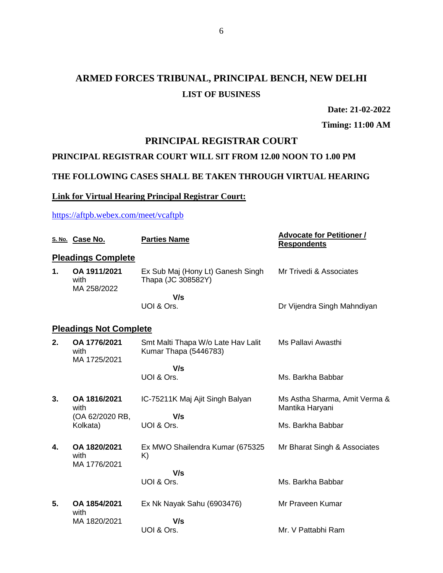# **ARMED FORCES TRIBUNAL, PRINCIPAL BENCH, NEW DELHI LIST OF BUSINESS**

**Date: 21-02-2022**

**Timing: 11:00 AM**

# **PRINCIPAL REGISTRAR COURT**

# **PRINCIPAL REGISTRAR COURT WILL SIT FROM 12.00 NOON TO 1.00 PM**

## **THE FOLLOWING CASES SHALL BE TAKEN THROUGH VIRTUAL HEARING**

## **Link for Virtual Hearing Principal Registrar Court:**

<https://aftpb.webex.com/meet/vcaftpb>

|    | S. No. Case No.                      | <b>Parties Name</b>                                         | <b>Advocate for Petitioner /</b><br><b>Respondents</b> |
|----|--------------------------------------|-------------------------------------------------------------|--------------------------------------------------------|
|    | <b>Pleadings Complete</b>            |                                                             |                                                        |
| 1. | OA 1911/2021<br>with<br>MA 258/2022  | Ex Sub Maj (Hony Lt) Ganesh Singh<br>Thapa (JC 308582Y)     | Mr Trivedi & Associates                                |
|    |                                      | V/s                                                         |                                                        |
|    |                                      | UOI & Ors.                                                  | Dr Vijendra Singh Mahndiyan                            |
|    | <b>Pleadings Not Complete</b>        |                                                             |                                                        |
| 2. | OA 1776/2021<br>with<br>MA 1725/2021 | Smt Malti Thapa W/o Late Hav Lalit<br>Kumar Thapa (5446783) | Ms Pallavi Awasthi                                     |
|    |                                      | V/s                                                         |                                                        |
|    |                                      | UOI & Ors.                                                  | Ms. Barkha Babbar                                      |
| 3. | OA 1816/2021<br>with                 | IC-75211K Maj Ajit Singh Balyan                             | Ms Astha Sharma, Amit Verma &<br>Mantika Haryani       |
|    | (OA 62/2020 RB,<br>Kolkata)          | V/s<br>UOI & Ors.                                           | Ms. Barkha Babbar                                      |
| 4. | OA 1820/2021<br>with<br>MA 1776/2021 | Ex MWO Shailendra Kumar (675325)<br>K)                      | Mr Bharat Singh & Associates                           |
|    |                                      | V/s                                                         |                                                        |
|    |                                      | UOI & Ors.                                                  | Ms. Barkha Babbar                                      |
| 5. | OA 1854/2021<br>with                 | Ex Nk Nayak Sahu (6903476)                                  | Mr Praveen Kumar                                       |
|    | MA 1820/2021                         | V/s                                                         |                                                        |
|    |                                      | UOI & Ors.                                                  | Mr. V Pattabhi Ram                                     |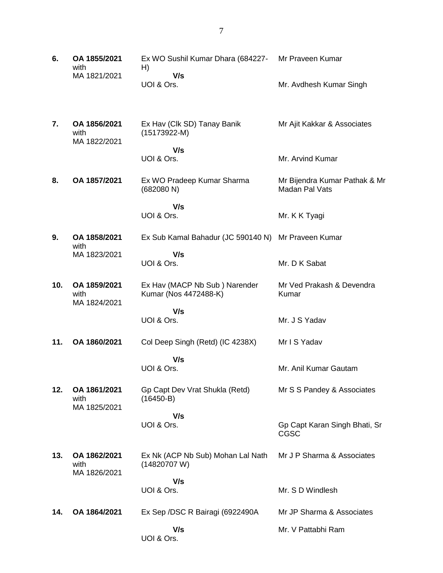| 6.  | OA 1855/2021<br>with                 | Ex WO Sushil Kumar Dhara (684227-<br>H)                | Mr Praveen Kumar                                |
|-----|--------------------------------------|--------------------------------------------------------|-------------------------------------------------|
|     | MA 1821/2021                         | V/s<br>UOI & Ors.                                      | Mr. Avdhesh Kumar Singh                         |
| 7.  | OA 1856/2021<br>with<br>MA 1822/2021 | Ex Hav (Clk SD) Tanay Banik<br>$(15173922-M)$          | Mr Ajit Kakkar & Associates                     |
|     |                                      | V/s<br>UOI & Ors.                                      | Mr. Arvind Kumar                                |
| 8.  | OA 1857/2021                         | Ex WO Pradeep Kumar Sharma<br>(682080 N)               | Mr Bijendra Kumar Pathak & Mr<br>Madan Pal Vats |
|     |                                      | V/s<br>UOI & Ors.                                      | Mr. K K Tyagi                                   |
| 9.  | OA 1858/2021<br>with                 | Ex Sub Kamal Bahadur (JC 590140 N) Mr Praveen Kumar    |                                                 |
|     | MA 1823/2021                         | V/s<br>UOI & Ors.                                      | Mr. D K Sabat                                   |
| 10. | OA 1859/2021<br>with<br>MA 1824/2021 | Ex Hav (MACP Nb Sub) Narender<br>Kumar (Nos 4472488-K) | Mr Ved Prakash & Devendra<br>Kumar              |
|     |                                      | V/s<br>UOI & Ors.                                      | Mr. J S Yadav                                   |
| 11. | OA 1860/2021                         | Col Deep Singh (Retd) (IC 4238X)                       | Mr I S Yadav                                    |
|     |                                      | V/s<br>UOI & Ors.                                      | Mr. Anil Kumar Gautam                           |
| 12. | OA 1861/2021<br>with<br>MA 1825/2021 | Gp Capt Dev Vrat Shukla (Retd)<br>$(16450-B)$          | Mr S S Pandey & Associates                      |
|     |                                      | V/s<br>UOI & Ors.                                      | Gp Capt Karan Singh Bhati, Sr<br>CGSC           |
| 13. | OA 1862/2021<br>with<br>MA 1826/2021 | Ex Nk (ACP Nb Sub) Mohan Lal Nath<br>(14820707W)       | Mr J P Sharma & Associates                      |
|     |                                      | V/s<br>UOI & Ors.                                      | Mr. S D Windlesh                                |
| 14. | OA 1864/2021                         | Ex Sep / DSC R Bairagi (6922490A)                      | Mr JP Sharma & Associates                       |
|     |                                      |                                                        |                                                 |
|     |                                      | V/s<br>UOI & Ors.                                      | Mr. V Pattabhi Ram                              |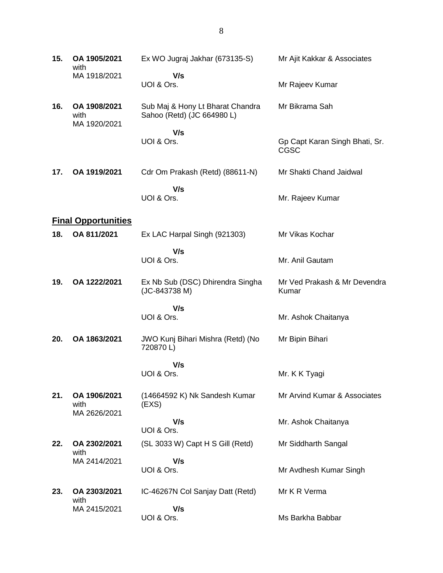| 15. | OA 1905/2021<br>with                 | Ex WO Jugraj Jakhar (673135-S)                                 | Mr Ajit Kakkar & Associates                   |
|-----|--------------------------------------|----------------------------------------------------------------|-----------------------------------------------|
|     | MA 1918/2021                         | V/s<br>UOI & Ors.                                              | Mr Rajeev Kumar                               |
| 16. | OA 1908/2021<br>with<br>MA 1920/2021 | Sub Maj & Hony Lt Bharat Chandra<br>Sahoo (Retd) (JC 664980 L) | Mr Bikrama Sah                                |
|     |                                      | V/s<br>UOI & Ors.                                              | Gp Capt Karan Singh Bhati, Sr.<br><b>CGSC</b> |
| 17. | OA 1919/2021                         | Cdr Om Prakash (Retd) (88611-N)                                | Mr Shakti Chand Jaidwal                       |
|     |                                      | V/s<br>UOI & Ors.                                              | Mr. Rajeev Kumar                              |
|     | <b>Final Opportunities</b>           |                                                                |                                               |
| 18. | OA 811/2021                          | Ex LAC Harpal Singh (921303)                                   | Mr Vikas Kochar                               |
|     |                                      | V/s<br>UOI & Ors.                                              | Mr. Anil Gautam                               |
| 19. | OA 1222/2021                         | Ex Nb Sub (DSC) Dhirendra Singha<br>(JC-843738 M)              | Mr Ved Prakash & Mr Devendra<br>Kumar         |
|     |                                      | V/s<br>UOI & Ors.                                              | Mr. Ashok Chaitanya                           |
| 20. | OA 1863/2021                         | JWO Kunj Bihari Mishra (Retd) (No<br>720870L)                  | Mr Bipin Bihari                               |
|     |                                      | V/s                                                            |                                               |
|     |                                      | UOI & Ors.                                                     | Mr. K K Tyagi                                 |
| 21. | OA 1906/2021<br>with<br>MA 2626/2021 | (14664592 K) Nk Sandesh Kumar<br>(EXS)                         | Mr Arvind Kumar & Associates                  |
|     |                                      | V/s<br>UOI & Ors.                                              | Mr. Ashok Chaitanya                           |
| 22. | OA 2302/2021<br>with                 | (SL 3033 W) Capt H S Gill (Retd)                               | Mr Siddharth Sangal                           |
|     | MA 2414/2021                         | V/s<br>UOI & Ors.                                              | Mr Avdhesh Kumar Singh                        |
| 23. | OA 2303/2021<br>with                 | IC-46267N Col Sanjay Datt (Retd)                               | Mr K R Verma                                  |
|     | MA 2415/2021                         | V/s<br>UOI & Ors.                                              | Ms Barkha Babbar                              |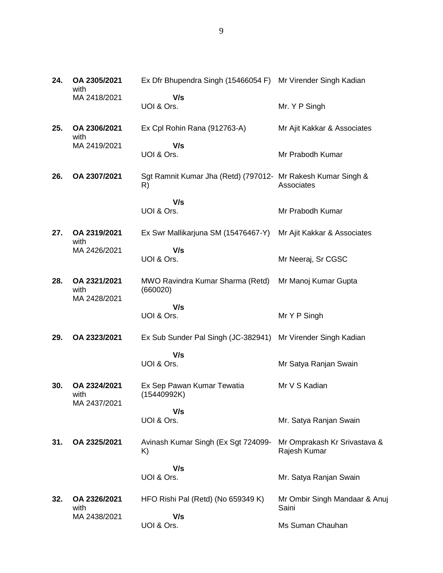| 24. | OA 2305/2021<br>with                 | Ex Dfr Bhupendra Singh (15466054 F) Mr Virender Singh Kadian       |                                              |
|-----|--------------------------------------|--------------------------------------------------------------------|----------------------------------------------|
|     | MA 2418/2021                         | V/s<br>UOI & Ors.                                                  | Mr. Y P Singh                                |
| 25. | OA 2306/2021<br>with                 | Ex Cpl Rohin Rana (912763-A)                                       | Mr Ajit Kakkar & Associates                  |
|     | MA 2419/2021                         | V/s<br>UOI & Ors.                                                  | Mr Prabodh Kumar                             |
| 26. | OA 2307/2021                         | Sgt Ramnit Kumar Jha (Retd) (797012- Mr Rakesh Kumar Singh &<br>R) | Associates                                   |
|     |                                      | V/s<br>UOI & Ors.                                                  | Mr Prabodh Kumar                             |
|     |                                      |                                                                    |                                              |
| 27. | OA 2319/2021<br>with                 | Ex Swr Mallikarjuna SM (15476467-Y)                                | Mr Ajit Kakkar & Associates                  |
|     | MA 2426/2021                         | V/s<br>UOI & Ors.                                                  | Mr Neeraj, Sr CGSC                           |
| 28. | OA 2321/2021<br>with<br>MA 2428/2021 | MWO Ravindra Kumar Sharma (Retd)<br>(660020)                       | Mr Manoj Kumar Gupta                         |
|     |                                      | V/s<br>UOI & Ors.                                                  | Mr Y P Singh                                 |
| 29. | OA 2323/2021                         | Ex Sub Sunder Pal Singh (JC-382941)                                | Mr Virender Singh Kadian                     |
|     |                                      | V/s                                                                |                                              |
|     |                                      | UOI & Ors.                                                         | Mr Satya Ranjan Swain                        |
| 30. | OA 2324/2021<br>with<br>MA 2437/2021 | Ex Sep Pawan Kumar Tewatia<br>(15440992K)                          | Mr V S Kadian                                |
|     |                                      | V/s<br>UOI & Ors.                                                  | Mr. Satya Ranjan Swain                       |
| 31. | OA 2325/2021                         | Avinash Kumar Singh (Ex Sgt 724099-<br>K)                          | Mr Omprakash Kr Srivastava &<br>Rajesh Kumar |
|     |                                      | V/s<br>UOI & Ors.                                                  | Mr. Satya Ranjan Swain                       |
| 32. | OA 2326/2021<br>with                 | HFO Rishi Pal (Retd) (No 659349 K)                                 | Mr Ombir Singh Mandaar & Anuj<br>Saini       |
|     | MA 2438/2021                         | V/s<br>UOI & Ors.                                                  | Ms Suman Chauhan                             |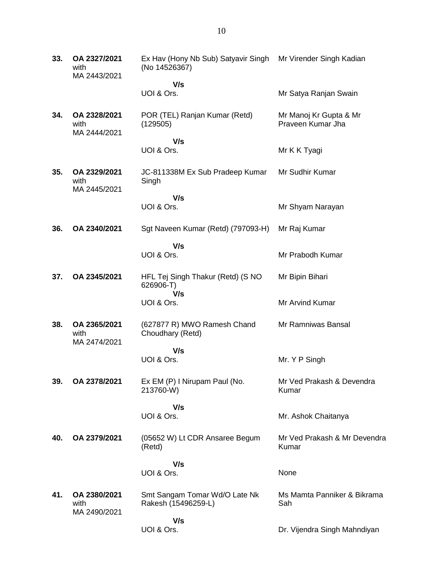| 33. | OA 2327/2021<br>with<br>MA 2443/2021 | Ex Hav (Hony Nb Sub) Satyavir Singh<br>(No 14526367)  | Mr Virender Singh Kadian                    |
|-----|--------------------------------------|-------------------------------------------------------|---------------------------------------------|
|     |                                      | V/s<br>UOI & Ors.                                     | Mr Satya Ranjan Swain                       |
| 34. | OA 2328/2021<br>with<br>MA 2444/2021 | POR (TEL) Ranjan Kumar (Retd)<br>(129505)             | Mr Manoj Kr Gupta & Mr<br>Praveen Kumar Jha |
|     |                                      | V/s                                                   |                                             |
|     |                                      | UOI & Ors.                                            | Mr K K Tyagi                                |
| 35. | OA 2329/2021<br>with<br>MA 2445/2021 | JC-811338M Ex Sub Pradeep Kumar<br>Singh              | Mr Sudhir Kumar                             |
|     |                                      | V/s                                                   |                                             |
|     |                                      | UOI & Ors.                                            | Mr Shyam Narayan                            |
| 36. | OA 2340/2021                         | Sgt Naveen Kumar (Retd) (797093-H)                    | Mr Raj Kumar                                |
|     |                                      | V/s<br>UOI & Ors.                                     | Mr Prabodh Kumar                            |
| 37. | OA 2345/2021                         | HFL Tej Singh Thakur (Retd) (S NO<br>626906-T)<br>V/s | Mr Bipin Bihari                             |
|     |                                      | UOI & Ors.                                            | Mr Arvind Kumar                             |
| 38. | OA 2365/2021<br>with<br>MA 2474/2021 | (627877 R) MWO Ramesh Chand<br>Choudhary (Retd)       | Mr Ramniwas Bansal                          |
|     |                                      | V/s                                                   |                                             |
|     |                                      | UOI & Ors.                                            | Mr. Y P Singh                               |
| 39. | OA 2378/2021                         | Ex EM (P) I Nirupam Paul (No.<br>213760-W)            | Mr Ved Prakash & Devendra<br>Kumar          |
|     |                                      | V/s                                                   |                                             |
|     |                                      | UOI & Ors.                                            | Mr. Ashok Chaitanya                         |
| 40. | OA 2379/2021                         | (05652 W) Lt CDR Ansaree Begum<br>(Retd)              | Mr Ved Prakash & Mr Devendra<br>Kumar       |
|     |                                      | V/s                                                   |                                             |
|     |                                      | UOI & Ors.                                            | None                                        |
| 41. | OA 2380/2021<br>with<br>MA 2490/2021 | Smt Sangam Tomar Wd/O Late Nk<br>Rakesh (15496259-L)  | Ms Mamta Panniker & Bikrama<br>Sah          |
|     |                                      | V/s                                                   |                                             |
|     |                                      | UOI & Ors.                                            | Dr. Vijendra Singh Mahndiyan                |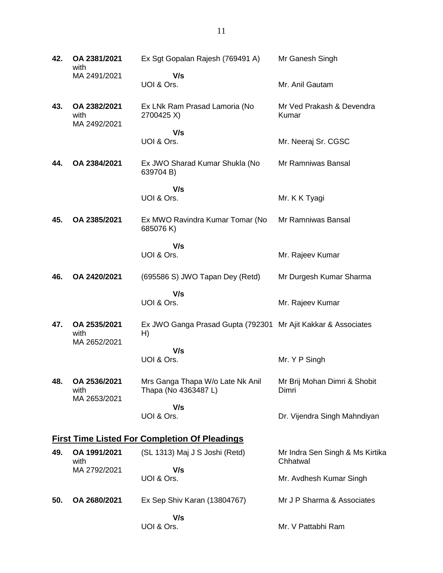| 42. | OA 2381/2021<br>with                                 | Ex Sgt Gopalan Rajesh (769491 A)                                    | Mr Ganesh Singh                             |  |  |  |
|-----|------------------------------------------------------|---------------------------------------------------------------------|---------------------------------------------|--|--|--|
|     | MA 2491/2021                                         | V/s<br>UOI & Ors.                                                   | Mr. Anil Gautam                             |  |  |  |
| 43. | OA 2382/2021<br>with<br>MA 2492/2021                 | Ex LNk Ram Prasad Lamoria (No<br>2700425 X)                         | Mr Ved Prakash & Devendra<br>Kumar          |  |  |  |
|     |                                                      | V/s<br>UOI & Ors.                                                   | Mr. Neeraj Sr. CGSC                         |  |  |  |
| 44. | OA 2384/2021                                         | Ex JWO Sharad Kumar Shukla (No<br>639704 B)                         | Mr Ramniwas Bansal                          |  |  |  |
|     |                                                      | V/s<br>UOI & Ors.                                                   | Mr. K K Tyagi                               |  |  |  |
| 45. | OA 2385/2021                                         | Ex MWO Ravindra Kumar Tomar (No<br>685076K)                         | Mr Ramniwas Bansal                          |  |  |  |
|     |                                                      | V/s<br>UOI & Ors.                                                   | Mr. Rajeev Kumar                            |  |  |  |
| 46. | OA 2420/2021                                         | (695586 S) JWO Tapan Dey (Retd)                                     | Mr Durgesh Kumar Sharma                     |  |  |  |
|     |                                                      | V/s<br>UOI & Ors.                                                   | Mr. Rajeev Kumar                            |  |  |  |
| 47. | OA 2535/2021<br>with<br>MA 2652/2021                 | Ex JWO Ganga Prasad Gupta (792301 Mr Ajit Kakkar & Associates<br>H) |                                             |  |  |  |
|     |                                                      | V/s<br>UOI & Ors.                                                   | Mr. Y P Singh                               |  |  |  |
| 48. | OA 2536/2021<br>with<br>MA 2653/2021                 | Mrs Ganga Thapa W/o Late Nk Anil<br>Thapa (No 4363487 L)            | Mr Brij Mohan Dimri & Shobit<br>Dimri       |  |  |  |
|     |                                                      | V/s<br>UOI & Ors.                                                   | Dr. Vijendra Singh Mahndiyan                |  |  |  |
|     | <b>First Time Listed For Completion Of Pleadings</b> |                                                                     |                                             |  |  |  |
| 49. | OA 1991/2021<br>with                                 | (SL 1313) Maj J S Joshi (Retd)                                      | Mr Indra Sen Singh & Ms Kirtika<br>Chhatwal |  |  |  |
|     | MA 2792/2021                                         | V/s<br>UOI & Ors.                                                   | Mr. Avdhesh Kumar Singh                     |  |  |  |
| 50. | OA 2680/2021                                         | Ex Sep Shiv Karan (13804767)                                        | Mr J P Sharma & Associates                  |  |  |  |
|     |                                                      | V/s<br>UOI & Ors.                                                   | Mr. V Pattabhi Ram                          |  |  |  |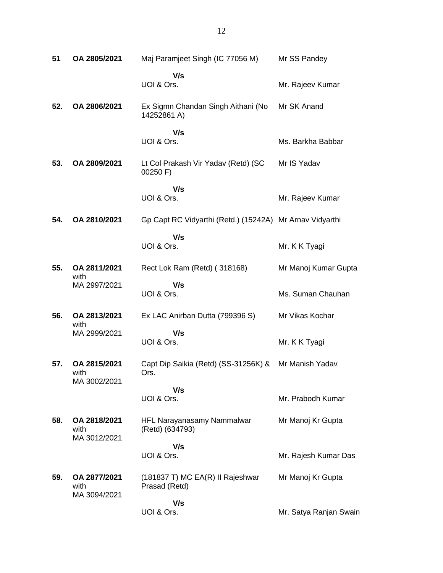| 51  | OA 2805/2021                         | Maj Paramjeet Singh (IC 77056 M)                         | Mr SS Pandey           |
|-----|--------------------------------------|----------------------------------------------------------|------------------------|
|     |                                      | V/s<br>UOI & Ors.                                        | Mr. Rajeev Kumar       |
| 52. | OA 2806/2021                         | Ex Sigmn Chandan Singh Aithani (No<br>14252861 A)        | Mr SK Anand            |
|     |                                      | V/s<br>UOI & Ors.                                        | Ms. Barkha Babbar      |
| 53. | OA 2809/2021                         | Lt Col Prakash Vir Yadav (Retd) (SC<br>00250 F)          | Mr IS Yadav            |
|     |                                      | V/s<br>UOI & Ors.                                        | Mr. Rajeev Kumar       |
| 54. | OA 2810/2021                         | Gp Capt RC Vidyarthi (Retd.) (15242A) Mr Arnav Vidyarthi |                        |
|     |                                      | V/s<br>UOI & Ors.                                        | Mr. K K Tyagi          |
| 55. | OA 2811/2021<br>with                 | Rect Lok Ram (Retd) (318168)                             | Mr Manoj Kumar Gupta   |
|     | MA 2997/2021                         | V/s<br>UOI & Ors.                                        | Ms. Suman Chauhan      |
| 56. | OA 2813/2021<br>with                 | Ex LAC Anirban Dutta (799396 S)                          | Mr Vikas Kochar        |
|     | MA 2999/2021                         | V/s<br>UOI & Ors.                                        | Mr. K K Tyagi          |
| 57. | OA 2815/2021<br>with<br>MA 3002/2021 | Capt Dip Saikia (Retd) (SS-31256K) &<br>Ors.             | Mr Manish Yadav        |
|     |                                      | V/s<br>UOI & Ors.                                        | Mr. Prabodh Kumar      |
| 58. | OA 2818/2021<br>with<br>MA 3012/2021 | HFL Narayanasamy Nammalwar<br>(Retd) (634793)            | Mr Manoj Kr Gupta      |
|     |                                      | V/s<br>UOI & Ors.                                        | Mr. Rajesh Kumar Das   |
| 59. | OA 2877/2021<br>with<br>MA 3094/2021 | (181837 T) MC EA(R) II Rajeshwar<br>Prasad (Retd)        | Mr Manoj Kr Gupta      |
|     |                                      | V/s<br>UOI & Ors.                                        | Mr. Satya Ranjan Swain |